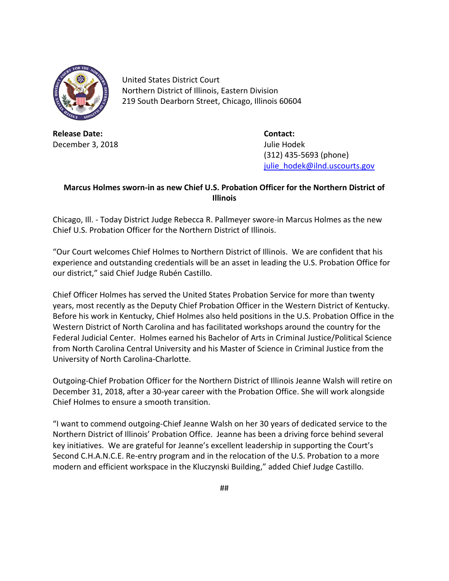

United States District Court Northern District of Illinois, Eastern Division 219 South Dearborn Street, Chicago, Illinois 60604

**Release Date: Contact:** December 3, 2018 **December 3, 2018** 

(312) 435-5693 (phone) [julie\\_hodek@ilnd.uscourts.gov](mailto:julie_hodek@ilnd.uscourts.gov)

## **Marcus Holmes sworn-in as new Chief U.S. Probation Officer for the Northern District of Illinois**

Chicago, Ill. - Today District Judge Rebecca R. Pallmeyer swore-in Marcus Holmes as the new Chief U.S. Probation Officer for the Northern District of Illinois.

"Our Court welcomes Chief Holmes to Northern District of Illinois. We are confident that his experience and outstanding credentials will be an asset in leading the U.S. Probation Office for our district," said Chief Judge Rubén Castillo.

Chief Officer Holmes has served the United States Probation Service for more than twenty years, most recently as the Deputy Chief Probation Officer in the Western District of Kentucky. Before his work in Kentucky, Chief Holmes also held positions in the U.S. Probation Office in the Western District of North Carolina and has facilitated workshops around the country for the Federal Judicial Center. Holmes earned his Bachelor of Arts in Criminal Justice/Political Science from North Carolina Central University and his Master of Science in Criminal Justice from the University of North Carolina-Charlotte.

Outgoing-Chief Probation Officer for the Northern District of Illinois Jeanne Walsh will retire on December 31, 2018, after a 30-year career with the Probation Office. She will work alongside Chief Holmes to ensure a smooth transition.

"I want to commend outgoing-Chief Jeanne Walsh on her 30 years of dedicated service to the Northern District of Illinois' Probation Office. Jeanne has been a driving force behind several key initiatives. We are grateful for Jeanne's excellent leadership in supporting the Court's Second C.H.A.N.C.E. Re-entry program and in the relocation of the U.S. Probation to a more modern and efficient workspace in the Kluczynski Building," added Chief Judge Castillo.